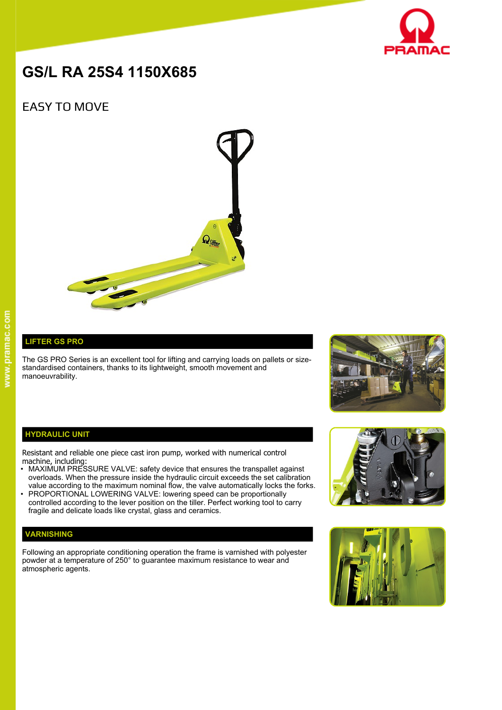

# **GS/L RA 25S4 1150X685**

# EASY TO MOVE



## **LIFTER GS PRO**

The GS PRO Series is an excellent tool for lifting and carrying loads on pallets or sizestandardised containers, thanks to its lightweight, smooth movement and manoeuvrability.



#### **HYDRAULIC UNIT**

Resistant and reliable one piece cast iron pump, worked with numerical control machine, including:

- MAXIMUM PRESSURE VALVE: safety device that ensures the transpallet against overloads. When the pressure inside the hydraulic circuit exceeds the set calibration value according to the maximum nominal flow, the valve automatically locks the forks.
- PROPORTIONAL LOWERING VALVE: lowering speed can be proportionally controlled according to the lever position on the tiller. Perfect working tool to carry fragile and delicate loads like crystal, glass and ceramics.

### **VARNISHING**

Following an appropriate conditioning operation the frame is varnished with polyester powder at a temperature of 250° to guarantee maximum resistance to wear and atmospheric agents.



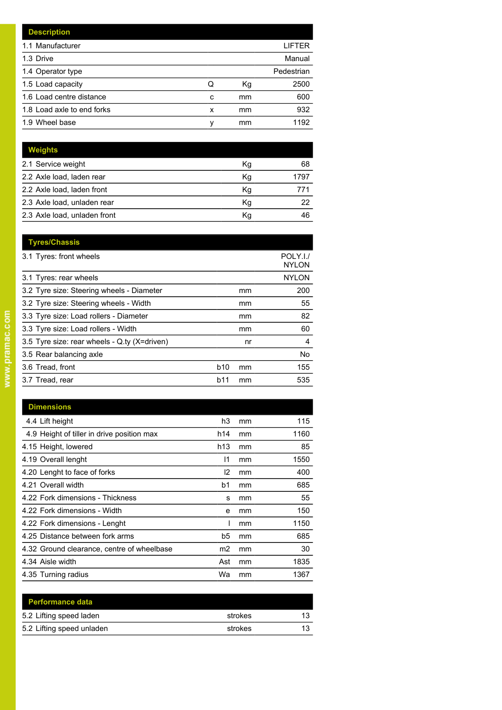|   |    | LIFTER     |
|---|----|------------|
|   |    | Manual     |
|   |    | Pedestrian |
| Q | Кg | 2500       |
| c | mm | 600        |
| x | mm | 932        |
| ν | mm | 1192       |
|   |    |            |

| <b>Weights</b>               |    |      |
|------------------------------|----|------|
| 2.1 Service weight           | Кg | 68   |
| 2.2 Axle load, laden rear    | Κg | 1797 |
| 2.2 Axle load, laden front   | Kg | 771  |
| 2.3 Axle load, unladen rear  | Κq | 22   |
| 2.3 Axle load, unladen front | Κq | 46   |

| <b>Tyres/Chassis</b>                         |     |    |                          |
|----------------------------------------------|-----|----|--------------------------|
| 3.1 Tyres: front wheels                      |     |    | POLY.I./<br><b>NYLON</b> |
| 3.1 Tyres: rear wheels                       |     |    | <b>NYLON</b>             |
| 3.2 Tyre size: Steering wheels - Diameter    |     | mm | 200                      |
| 3.2 Tyre size: Steering wheels - Width       |     | mm | 55                       |
| 3.3 Tyre size: Load rollers - Diameter       |     | mm | 82                       |
| 3.3 Tyre size: Load rollers - Width          |     | mm | 60                       |
| 3.5 Tyre size: rear wheels - Q.ty (X=driven) |     | nr | 4                        |
| 3.5 Rear balancing axle                      |     |    | No                       |
| 3.6 Tread, front                             | b10 | mm | 155                      |
| 3.7 Tread, rear                              | b11 | mm | 535                      |
|                                              |     |    |                          |

| <b>Dimensions</b>                          |                 |    |      |
|--------------------------------------------|-----------------|----|------|
| 4.4 Lift height                            | h3              | mm | 115  |
| 4.9 Height of tiller in drive position max | h14             | mm | 1160 |
| 4.15 Height, lowered                       | h <sub>13</sub> | mm | 85   |
| 4.19 Overall lenght                        | 11              | mm | 1550 |
| 4.20 Lenght to face of forks               | 12              | mm | 400  |
| 4.21 Overall width                         | b1              | mm | 685  |
| 4.22 Fork dimensions - Thickness           | s               | mm | 55   |
| 4.22 Fork dimensions - Width               | e               | mm | 150  |
| 4.22 Fork dimensions - Lenght              |                 | mm | 1150 |
| 4.25 Distance between fork arms            | b5              | mm | 685  |
| 4.32 Ground clearance, centre of wheelbase | m2              | mm | 30   |
| 4.34 Aisle width                           | Ast             | mm | 1835 |
| 4.35 Turning radius                        | Wa              | mm | 1367 |

| <b>Performance data</b>   |         |    |
|---------------------------|---------|----|
| 5.2 Lifting speed laden   | strokes | 13 |
| 5.2 Lifting speed unladen | strokes | 12 |
|                           |         |    |